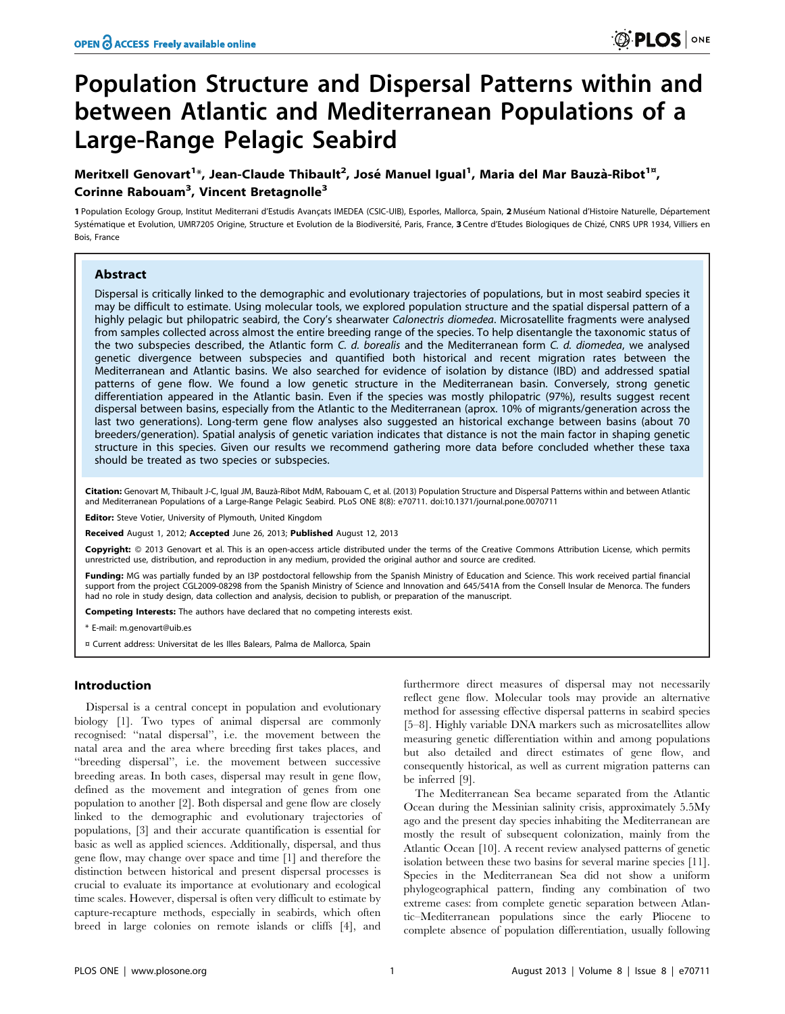# Population Structure and Dispersal Patterns within and between Atlantic and Mediterranean Populations of a Large-Range Pelagic Seabird

## Meritxell Genovart<sup>1</sup>\*, Jean-Claude Thibault<sup>2</sup>, José Manuel Igual<sup>1</sup>, Maria del Mar Bauzà-Ribot<sup>1¤</sup>, Corinne Rabouam<sup>3</sup>, Vincent Bretagnolle<sup>3</sup>

1 Population Ecology Group, Institut Mediterrani d'Estudis Avançats IMEDEA (CSIC-UIB), Esporles, Mallorca, Spain, 2 Muséum National d'Histoire Naturelle, Département Systématique et Evolution, UMR7205 Origine, Structure et Evolution de la Biodiversité, Paris, France, 3 Centre d'Etudes Biologiques de Chizé, CNRS UPR 1934, Villiers en Bois, France

## Abstract

Dispersal is critically linked to the demographic and evolutionary trajectories of populations, but in most seabird species it may be difficult to estimate. Using molecular tools, we explored population structure and the spatial dispersal pattern of a highly pelagic but philopatric seabird, the Cory's shearwater Calonectris diomedea. Microsatellite fragments were analysed from samples collected across almost the entire breeding range of the species. To help disentangle the taxonomic status of the two subspecies described, the Atlantic form C. d. borealis and the Mediterranean form C. d. diomedea, we analysed genetic divergence between subspecies and quantified both historical and recent migration rates between the Mediterranean and Atlantic basins. We also searched for evidence of isolation by distance (IBD) and addressed spatial patterns of gene flow. We found a low genetic structure in the Mediterranean basin. Conversely, strong genetic differentiation appeared in the Atlantic basin. Even if the species was mostly philopatric (97%), results suggest recent dispersal between basins, especially from the Atlantic to the Mediterranean (aprox. 10% of migrants/generation across the last two generations). Long-term gene flow analyses also suggested an historical exchange between basins (about 70 breeders/generation). Spatial analysis of genetic variation indicates that distance is not the main factor in shaping genetic structure in this species. Given our results we recommend gathering more data before concluded whether these taxa should be treated as two species or subspecies.

Citation: Genovart M, Thibault J-C, Igual JM, Bauzà-Ribot MdM, Rabouam C, et al. (2013) Population Structure and Dispersal Patterns within and between Atlantic and Mediterranean Populations of a Large-Range Pelagic Seabird. PLoS ONE 8(8): e70711. doi:10.1371/journal.pone.0070711

**Editor:** Steve Votier, University of Plymouth, United Kingdom

Received August 1, 2012; Accepted June 26, 2013; Published August 12, 2013

**Copyright:** © 2013 Genovart et al. This is an open-access article distributed under the terms of the Creative Commons Attribution License, which permits unrestricted use, distribution, and reproduction in any medium, provided the original author and source are credited.

Funding: MG was partially funded by an I3P postdoctoral fellowship from the Spanish Ministry of Education and Science. This work received partial financial support from the project CGL2009-08298 from the Spanish Ministry of Science and Innovation and 645/541A from the Consell Insular de Menorca. The funders had no role in study design, data collection and analysis, decision to publish, or preparation of the manuscript.

Competing Interests: The authors have declared that no competing interests exist.

\* E-mail: m.genovart@uib.es

## Introduction

Dispersal is a central concept in population and evolutionary biology [1]. Two types of animal dispersal are commonly recognised: ''natal dispersal'', i.e. the movement between the natal area and the area where breeding first takes places, and ''breeding dispersal'', i.e. the movement between successive breeding areas. In both cases, dispersal may result in gene flow, defined as the movement and integration of genes from one population to another [2]. Both dispersal and gene flow are closely linked to the demographic and evolutionary trajectories of populations, [3] and their accurate quantification is essential for basic as well as applied sciences. Additionally, dispersal, and thus gene flow, may change over space and time [1] and therefore the distinction between historical and present dispersal processes is crucial to evaluate its importance at evolutionary and ecological time scales. However, dispersal is often very difficult to estimate by capture-recapture methods, especially in seabirds, which often breed in large colonies on remote islands or cliffs [4], and furthermore direct measures of dispersal may not necessarily reflect gene flow. Molecular tools may provide an alternative method for assessing effective dispersal patterns in seabird species [5–8]. Highly variable DNA markers such as microsatellites allow measuring genetic differentiation within and among populations but also detailed and direct estimates of gene flow, and consequently historical, as well as current migration patterns can be inferred [9].

The Mediterranean Sea became separated from the Atlantic Ocean during the Messinian salinity crisis, approximately 5.5My ago and the present day species inhabiting the Mediterranean are mostly the result of subsequent colonization, mainly from the Atlantic Ocean [10]. A recent review analysed patterns of genetic isolation between these two basins for several marine species [11]. Species in the Mediterranean Sea did not show a uniform phylogeographical pattern, finding any combination of two extreme cases: from complete genetic separation between Atlantic–Mediterranean populations since the early Pliocene to complete absence of population differentiation, usually following

<sup>¤</sup> Current address: Universitat de les Illes Balears, Palma de Mallorca, Spain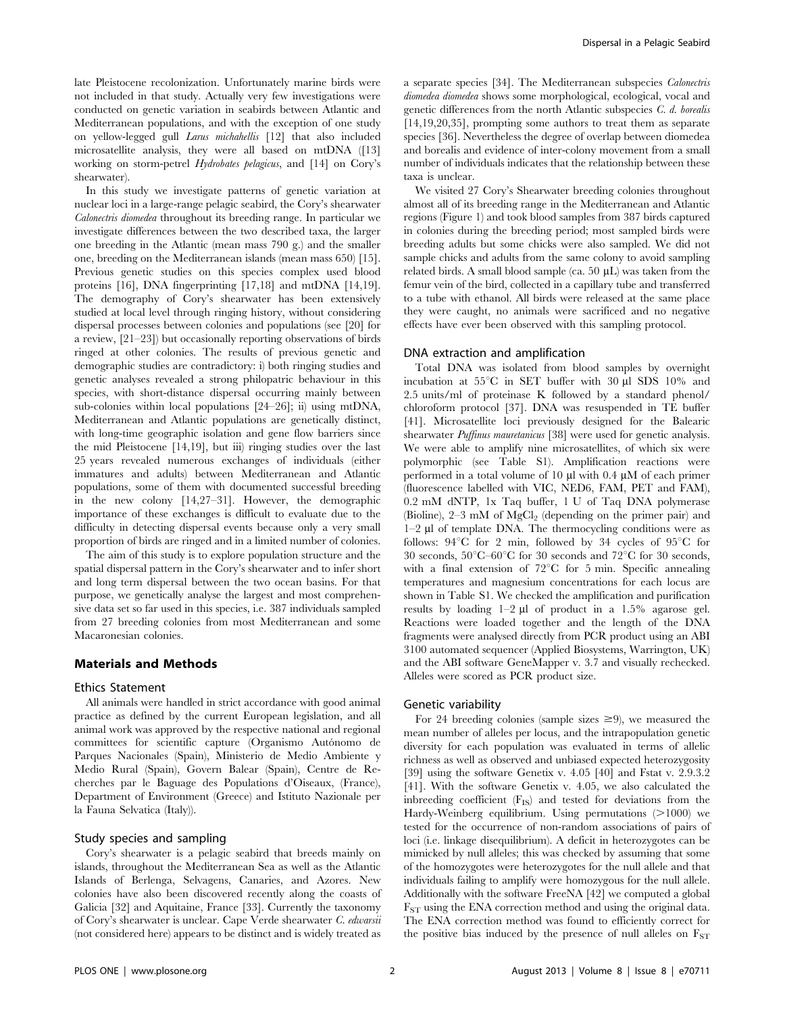late Pleistocene recolonization. Unfortunately marine birds were not included in that study. Actually very few investigations were conducted on genetic variation in seabirds between Atlantic and Mediterranean populations, and with the exception of one study on yellow-legged gull Larus michahellis [12] that also included microsatellite analysis, they were all based on mtDNA ([13] working on storm-petrel Hydrobates pelagicus, and [14] on Cory's shearwater).

In this study we investigate patterns of genetic variation at nuclear loci in a large-range pelagic seabird, the Cory's shearwater Calonectris diomedea throughout its breeding range. In particular we investigate differences between the two described taxa, the larger one breeding in the Atlantic (mean mass 790 g.) and the smaller one, breeding on the Mediterranean islands (mean mass 650) [15]. Previous genetic studies on this species complex used blood proteins [16], DNA fingerprinting [17,18] and mtDNA [14,19]. The demography of Cory's shearwater has been extensively studied at local level through ringing history, without considering dispersal processes between colonies and populations (see [20] for a review, [21–23]) but occasionally reporting observations of birds ringed at other colonies. The results of previous genetic and demographic studies are contradictory: i) both ringing studies and genetic analyses revealed a strong philopatric behaviour in this species, with short-distance dispersal occurring mainly between sub-colonies within local populations [24–26]; ii) using mtDNA, Mediterranean and Atlantic populations are genetically distinct, with long-time geographic isolation and gene flow barriers since the mid Pleistocene [14,19], but iii) ringing studies over the last 25 years revealed numerous exchanges of individuals (either immatures and adults) between Mediterranean and Atlantic populations, some of them with documented successful breeding in the new colony [14,27–31]. However, the demographic importance of these exchanges is difficult to evaluate due to the difficulty in detecting dispersal events because only a very small proportion of birds are ringed and in a limited number of colonies.

The aim of this study is to explore population structure and the spatial dispersal pattern in the Cory's shearwater and to infer short and long term dispersal between the two ocean basins. For that purpose, we genetically analyse the largest and most comprehensive data set so far used in this species, i.e. 387 individuals sampled from 27 breeding colonies from most Mediterranean and some Macaronesian colonies.

#### Materials and Methods

#### Ethics Statement

All animals were handled in strict accordance with good animal practice as defined by the current European legislation, and all animal work was approved by the respective national and regional committees for scientific capture (Organismo Autónomo de Parques Nacionales (Spain), Ministerio de Medio Ambiente y Medio Rural (Spain), Govern Balear (Spain), Centre de Recherches par le Baguage des Populations d'Oiseaux, (France), Department of Environment (Greece) and Istituto Nazionale per la Fauna Selvatica (Italy)).

## Study species and sampling

Cory's shearwater is a pelagic seabird that breeds mainly on islands, throughout the Mediterranean Sea as well as the Atlantic Islands of Berlenga, Selvagens, Canaries, and Azores. New colonies have also been discovered recently along the coasts of Galicia [32] and Aquitaine, France [33]. Currently the taxonomy of Cory's shearwater is unclear. Cape Verde shearwater C. edwarsii (not considered here) appears to be distinct and is widely treated as a separate species [34]. The Mediterranean subspecies Calonectris diomedea diomedea shows some morphological, ecological, vocal and genetic differences from the north Atlantic subspecies C. d. borealis [14,19,20,35], prompting some authors to treat them as separate species [36]. Nevertheless the degree of overlap between diomedea and borealis and evidence of inter-colony movement from a small number of individuals indicates that the relationship between these taxa is unclear.

We visited 27 Cory's Shearwater breeding colonies throughout almost all of its breeding range in the Mediterranean and Atlantic regions (Figure 1) and took blood samples from 387 birds captured in colonies during the breeding period; most sampled birds were breeding adults but some chicks were also sampled. We did not sample chicks and adults from the same colony to avoid sampling related birds. A small blood sample (ca. 50  $\mu$ L) was taken from the femur vein of the bird, collected in a capillary tube and transferred to a tube with ethanol. All birds were released at the same place they were caught, no animals were sacrificed and no negative effects have ever been observed with this sampling protocol.

#### DNA extraction and amplification

Total DNA was isolated from blood samples by overnight incubation at  $55^{\circ}$ C in SET buffer with 30  $\mu$ l SDS 10% and 2.5 units/ml of proteinase K followed by a standard phenol/ chloroform protocol [37]. DNA was resuspended in TE buffer [41]. Microsatellite loci previously designed for the Balearic shearwater *Puffinus mauretanicus* [38] were used for genetic analysis. We were able to amplify nine microsatellites, of which six were polymorphic (see Table S1). Amplification reactions were performed in a total volume of 10  $\mu$ l with 0.4  $\mu$ M of each primer (fluorescence labelled with VIC, NED6, FAM, PET and FAM), 0.2 mM dNTP, 1x Taq buffer, 1 U of Taq DNA polymerase (Bioline),  $2-3$  mM of  $MgCl<sub>2</sub>$  (depending on the primer pair) and  $1-2$   $\mu$ l of template DNA. The thermocycling conditions were as follows:  $94^{\circ}$ C for 2 min, followed by 34 cycles of  $95^{\circ}$ C for 30 seconds,  $50^{\circ}C-60^{\circ}C$  for 30 seconds and  $72^{\circ}C$  for 30 seconds, with a final extension of  $72^{\circ}$ C for 5 min. Specific annealing temperatures and magnesium concentrations for each locus are shown in Table S1. We checked the amplification and purification results by loading  $1-2 \mu l$  of product in a 1.5% agarose gel. Reactions were loaded together and the length of the DNA fragments were analysed directly from PCR product using an ABI 3100 automated sequencer (Applied Biosystems, Warrington, UK) and the ABI software GeneMapper v. 3.7 and visually rechecked. Alleles were scored as PCR product size.

#### Genetic variability

For 24 breeding colonies (sample sizes  $\geq$ 9), we measured the mean number of alleles per locus, and the intrapopulation genetic diversity for each population was evaluated in terms of allelic richness as well as observed and unbiased expected heterozygosity [39] using the software Genetix v. 4.05 [40] and Fstat v. 2.9.3.2 [41]. With the software Genetix v. 4.05, we also calculated the indreding coefficient  $(F_{IS})$  and tested for deviations from the Hardy-Weinberg equilibrium. Using permutations  $(>1000)$  we tested for the occurrence of non-random associations of pairs of loci (i.e. linkage disequilibrium). A deficit in heterozygotes can be mimicked by null alleles; this was checked by assuming that some of the homozygotes were heterozygotes for the null allele and that individuals failing to amplify were homozygous for the null allele. Additionally with the software FreeNA [42] we computed a global FST using the ENA correction method and using the original data. The ENA correction method was found to efficiently correct for the positive bias induced by the presence of null alleles on  $F_{ST}$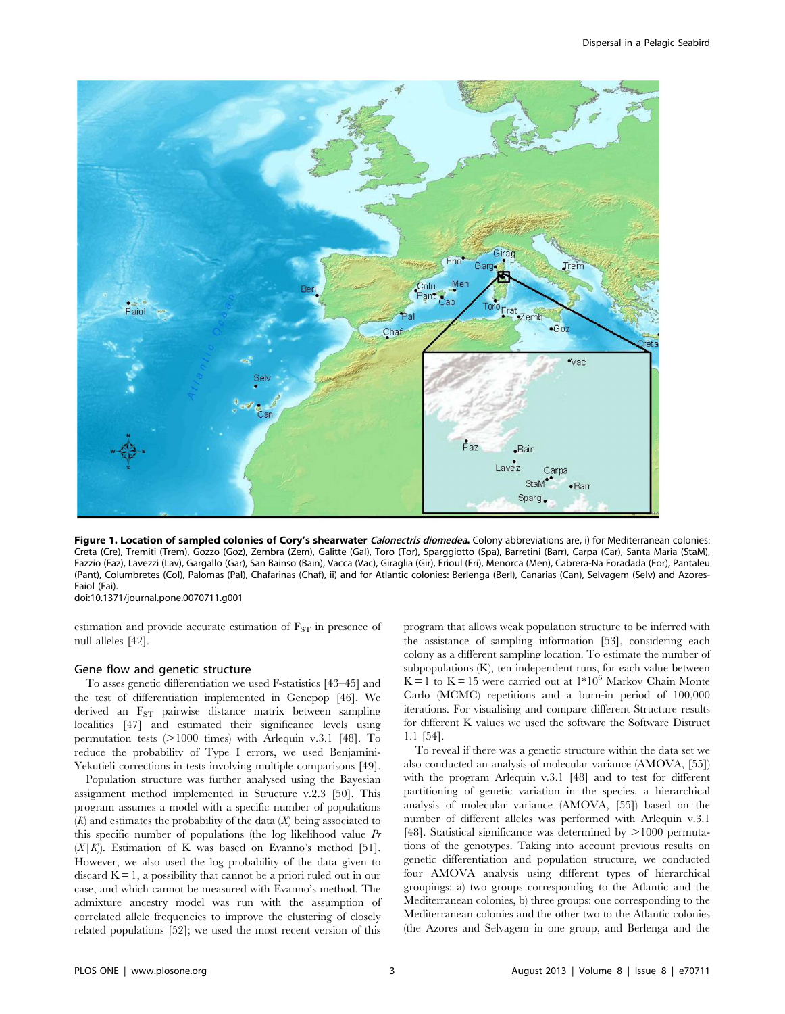

Figure 1. Location of sampled colonies of Cory's shearwater Calonectris diomedea. Colony abbreviations are, i) for Mediterranean colonies: Creta (Cre), Tremiti (Trem), Gozzo (Goz), Zembra (Zem), Galitte (Gal), Toro (Tor), Sparggiotto (Spa), Barretini (Barr), Carpa (Car), Santa Maria (StaM), Fazzio (Faz), Lavezzi (Lav), Gargallo (Gar), San Bainso (Bain), Vacca (Vac), Giraglia (Gir), Frioul (Fri), Menorca (Men), Cabrera-Na Foradada (For), Pantaleu (Pant), Columbretes (Col), Palomas (Pal), Chafarinas (Chaf), ii) and for Atlantic colonies: Berlenga (Berl), Canarias (Can), Selvagem (Selv) and Azores-Faiol (Fai).

doi:10.1371/journal.pone.0070711.g001

estimation and provide accurate estimation of  $F_{ST}$  in presence of null alleles [42].

#### Gene flow and genetic structure

To asses genetic differentiation we used F-statistics [43–45] and the test of differentiation implemented in Genepop [46]. We derived an F<sub>ST</sub> pairwise distance matrix between sampling localities [47] and estimated their significance levels using permutation tests  $(>1000$  times) with Arlequin v.3.1 [48]. To reduce the probability of Type I errors, we used Benjamini-Yekutieli corrections in tests involving multiple comparisons [49].

Population structure was further analysed using the Bayesian assignment method implemented in Structure v.2.3 [50]. This program assumes a model with a specific number of populations  $(K)$  and estimates the probability of the data  $(X)$  being associated to this specific number of populations (the log likelihood value Pr  $(X|K)$ . Estimation of K was based on Evanno's method [51]. However, we also used the log probability of the data given to discard  $K = 1$ , a possibility that cannot be a priori ruled out in our case, and which cannot be measured with Evanno's method. The admixture ancestry model was run with the assumption of correlated allele frequencies to improve the clustering of closely related populations [52]; we used the most recent version of this

program that allows weak population structure to be inferred with the assistance of sampling information [53], considering each colony as a different sampling location. To estimate the number of subpopulations (K), ten independent runs, for each value between  $K = 1$  to  $K = 15$  were carried out at  $1*10^6$  Markov Chain Monte Carlo (MCMC) repetitions and a burn-in period of 100,000 iterations. For visualising and compare different Structure results for different K values we used the software the Software Distruct 1.1 [54].

To reveal if there was a genetic structure within the data set we also conducted an analysis of molecular variance (AMOVA, [55]) with the program Arlequin v.3.1 [48] and to test for different partitioning of genetic variation in the species, a hierarchical analysis of molecular variance (AMOVA, [55]) based on the number of different alleles was performed with Arlequin v.3.1 [48]. Statistical significance was determined by  $>1000$  permutations of the genotypes. Taking into account previous results on genetic differentiation and population structure, we conducted four AMOVA analysis using different types of hierarchical groupings: a) two groups corresponding to the Atlantic and the Mediterranean colonies, b) three groups: one corresponding to the Mediterranean colonies and the other two to the Atlantic colonies (the Azores and Selvagem in one group, and Berlenga and the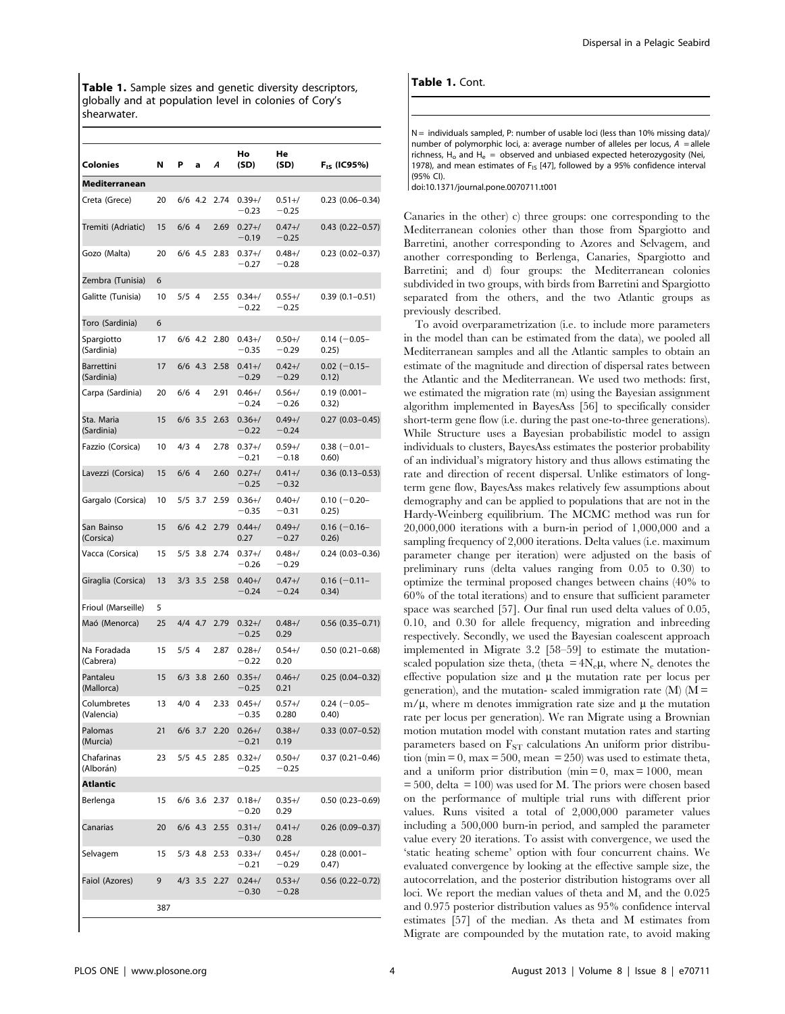Table 1. Sample sizes and genetic diversity descriptors, globally and at population level in colonies of Cory's shearwater.

| Colonies                  | N   | Р       | a         | A    | Ho<br>(SD)            | He<br>(SD)            | F <sub>is</sub> (IC95%)        |
|---------------------------|-----|---------|-----------|------|-----------------------|-----------------------|--------------------------------|
| Mediterranean             |     |         |           |      |                       |                       |                                |
| Creta (Grece)             | 20  |         | $6/6$ 4.2 | 2.74 | $0.39 + /$<br>$-0.23$ | $0.51 + /$<br>$-0.25$ | $0.23(0.06 - 0.34)$            |
| Tremiti (Adriatic)        | 15  | $6/6$ 4 |           | 2.69 | $0.27 + /$<br>$-0.19$ | $0.47 + /$<br>$-0.25$ | $0.43$ $(0.22 - 0.57)$         |
| Gozo (Malta)              | 20  |         | $6/6$ 4.5 | 2.83 | $0.37 + /$<br>$-0.27$ | $0.48 + /$<br>$-0.28$ | $0.23$ (0.02-0.37)             |
| Zembra (Tunisia)          | 6   |         |           |      |                       |                       |                                |
| Galitte (Tunisia)         | 10  | $5/5$ 4 |           | 2.55 | $0.34 + /$<br>$-0.22$ | $0.55 + /$<br>$-0.25$ | $0.39(0.1 - 0.51)$             |
| Toro (Sardinia)           | 6   |         |           |      |                       |                       |                                |
| Spargiotto<br>(Sardinia)  | 17  |         | $6/6$ 4.2 | 2.80 | $0.43 + /$<br>$-0.35$ | $0.50 + /$<br>$-0.29$ | $0.14 (-0.05 -$<br>0.25)       |
| Barrettini<br>(Sardinia)  | 17  |         | $6/6$ 4.3 | 2.58 | $0.41 + /$<br>$-0.29$ | $0.42 + /$<br>$-0.29$ | $0.02$ (-0.15-<br>0.12)        |
| Carpa (Sardinia)          | 20  | $6/6$ 4 |           | 2.91 | $0.46 + /$<br>$-0.24$ | $0.56 + /$<br>$-0.26$ | $0.19(0.001 -$<br>0.32)        |
| Sta. Maria<br>(Sardinia)  | 15  |         | $6/6$ 3.5 | 2.63 | $0.36 + /$<br>$-0.22$ | $0.49 + /$<br>$-0.24$ | $0.27(0.03 - 0.45)$            |
| Fazzio (Corsica)          | 10  | $4/3$ 4 |           | 2.78 | $0.37 + /$<br>$-0.21$ | $0.59 + /$<br>$-0.18$ | $0.38$ (-0.01-<br>0.60)        |
| Lavezzi (Corsica)         | 15  | $6/6$ 4 |           | 2.60 | $0.27 + /$<br>$-0.25$ | $0.41 + /$<br>$-0.32$ | $0.36$ (0.13-0.53)             |
| Gargalo (Corsica)         | 10  |         | $5/5$ 3.7 | 2.59 | $0.36 + /$<br>$-0.35$ | $0.40 + /$<br>$-0.31$ | $0.10 (-0.20 -$<br>0.25)       |
| San Bainso<br>(Corsica)   | 15  |         | $6/6$ 4.2 | 2.79 | $0.44 + /$<br>0.27    | $0.49 + /$<br>$-0.27$ | $0.16$ (-0.16-<br>0.26)        |
| Vacca (Corsica)           | 15  | 5/5     | 3.8       | 2.74 | $0.37 + /$<br>$-0.26$ | $0.48 + /$<br>$-0.29$ | $0.24$ (0.03-0.36)             |
| Giraglia (Corsica)        | 13  |         | $3/3$ 3.5 | 2.58 | $0.40 + /$<br>$-0.24$ | $0.47 + /$<br>$-0.24$ | $0.16$ (-0.11-<br>0.34)        |
| Frioul (Marseille)        | 5   |         |           |      |                       |                       |                                |
| Maó (Menorca)             | 25  |         | $4/4$ 4.7 | 2.79 | $0.32 + /$<br>$-0.25$ | $0.48 + /$<br>0.29    | $0.56$ $(0.35 - 0.71)$         |
| Na Foradada<br>(Cabrera)  | 15  | $5/5$ 4 |           | 2.87 | $0.28 + /$<br>$-0.22$ | $0.54 + /$<br>0.20    | $0.50(0.21 - 0.68)$            |
| Pantaleu<br>(Mallorca)    | 15  | 6/3     | 3.8       | 2.60 | $0.35 + /$<br>$-0.25$ | $0.46 + /$<br>0.21    | $0.25(0.04 - 0.32)$            |
| Columbretes<br>(Valencia) | 13  | $4/0$ 4 |           | 2.33 | $0.45 + /$<br>$-0.35$ | $0.57 + /$<br>0.280   | $0.24 (-0.05 -$<br><b>0.40</b> |
| Palomas<br>(Murcia)       | 21  |         | 6/6 3.7   | 2.20 | $0.26 + /$<br>$-0.21$ | $0.38 + /$<br>0.19    | $0.33$ (0.07-0.52)             |
| Chafarinas<br>(Alborán)   | 23  |         | $5/5$ 4.5 | 2.85 | $0.32 + /$<br>$-0.25$ | $0.50 + /$<br>$-0.25$ | $0.37(0.21 - 0.46)$            |
| Atlantic                  |     |         |           |      |                       |                       |                                |
| Berlenga                  | 15  |         | $6/6$ 3.6 | 2.37 | $0.18 + /$<br>$-0.20$ | $0.35 + /$<br>0.29    | $0.50(0.23 - 0.69)$            |
| Canarias                  | 20  |         | $6/6$ 4.3 | 2.55 | $0.31 + /$<br>$-0.30$ | $0.41 + /$<br>0.28    | $0.26$ (0.09-0.37)             |
| Selvagem                  | 15  |         | $5/3$ 4.8 | 2.53 | $0.33 + /$<br>$-0.21$ | $0.45 + /$<br>$-0.29$ | $0.28$ (0.001-<br>0.47)        |
| Faiol (Azores)            | 9   |         | $4/3$ 3.5 | 2.27 | $0.24 + /$<br>$-0.30$ | $0.53 + /$<br>$-0.28$ | $0.56$ $(0.22 - 0.72)$         |
|                           | 387 |         |           |      |                       |                       |                                |

## Table 1. Cont.

 $N =$  individuals sampled, P: number of usable loci (less than 10% missing data)/ number of polymorphic loci, a: average number of alleles per locus,  $A =$ allele richness,  $H_0$  and  $H_e$  = observed and unbiased expected heterozygosity (Nei, 1978), and mean estimates of  $F_{15}$  [47], followed by a 95% confidence interval (95% CI).

doi:10.1371/journal.pone.0070711.t001

Canaries in the other) c) three groups: one corresponding to the Mediterranean colonies other than those from Spargiotto and Barretini, another corresponding to Azores and Selvagem, and another corresponding to Berlenga, Canaries, Spargiotto and Barretini; and d) four groups: the Mediterranean colonies subdivided in two groups, with birds from Barretini and Spargiotto separated from the others, and the two Atlantic groups as previously described.

To avoid overparametrization (i.e. to include more parameters in the model than can be estimated from the data), we pooled all Mediterranean samples and all the Atlantic samples to obtain an estimate of the magnitude and direction of dispersal rates between the Atlantic and the Mediterranean. We used two methods: first, we estimated the migration rate (m) using the Bayesian assignment algorithm implemented in BayesAss [56] to specifically consider short-term gene flow (i.e. during the past one-to-three generations). While Structure uses a Bayesian probabilistic model to assign individuals to clusters, BayesAss estimates the posterior probability of an individual's migratory history and thus allows estimating the rate and direction of recent dispersal. Unlike estimators of longterm gene flow, BayesAss makes relatively few assumptions about demography and can be applied to populations that are not in the Hardy-Weinberg equilibrium. The MCMC method was run for 20,000,000 iterations with a burn-in period of 1,000,000 and a sampling frequency of 2,000 iterations. Delta values (i.e. maximum parameter change per iteration) were adjusted on the basis of preliminary runs (delta values ranging from 0.05 to 0.30) to optimize the terminal proposed changes between chains (40% to 60% of the total iterations) and to ensure that sufficient parameter space was searched [57]. Our final run used delta values of 0.05, 0.10, and 0.30 for allele frequency, migration and inbreeding respectively. Secondly, we used the Bayesian coalescent approach implemented in Migrate 3.2 [58–59] to estimate the mutationscaled population size theta, (theta =  $4N_e\mu$ , where  $N_e$  denotes the effective population size and  $\mu$  the mutation rate per locus per generation), and the mutation- scaled immigration rate  $(M)$   $(M =$  $m/\mu$ , where m denotes immigration rate size and  $\mu$  the mutation rate per locus per generation). We ran Migrate using a Brownian motion mutation model with constant mutation rates and starting parameters based on  $F_{ST}$  calculations An uniform prior distribution (min = 0, max = 500, mean = 250) was used to estimate theta, and a uniform prior distribution (min  $= 0$ , max  $= 1000$ , mean  $= 500$ , delta  $= 100$ ) was used for M. The priors were chosen based on the performance of multiple trial runs with different prior values. Runs visited a total of 2,000,000 parameter values including a 500,000 burn-in period, and sampled the parameter value every 20 iterations. To assist with convergence, we used the 'static heating scheme' option with four concurrent chains. We evaluated convergence by looking at the effective sample size, the autocorrelation, and the posterior distribution histograms over all loci. We report the median values of theta and M, and the 0.025 and 0.975 posterior distribution values as 95% confidence interval estimates [57] of the median. As theta and M estimates from Migrate are compounded by the mutation rate, to avoid making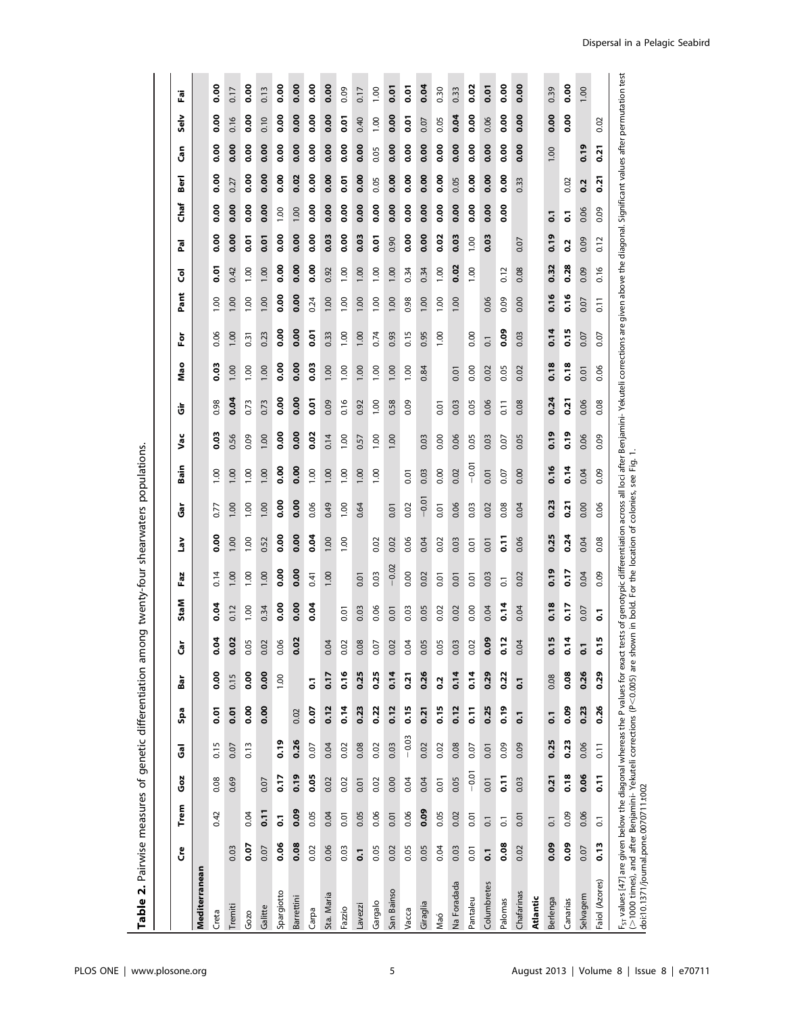| ジニュン                                           |
|------------------------------------------------|
| ֧֦֧֦֧֦֧֦֧֦֧֦֧֦֧֦֧֦֧֦֧֦֧֦֧֦֧֦֧֦֧֦֧֦֧֦֧֧ׅ֧֪֦֧֜֜֓ |
| פונים<br>ב                                     |
| .,<br>て<br>こ<br>-<br>3<br>1                    |
| ;<br>;<br>;<br>)<br>5<br>5<br>5<br>،<br>ب      |
| )<br>}<br>}<br>}                               |
|                                                |
| ļ<br>ľ<br>Ē                                    |

|                                                                                                                                                                                                               | င်                       | Trem                     | <b>Goz</b>         | శె                 | Spa            | Bar                      | ត<br>Ü                          | StaM | Faz                                                                                                                                                                                                                        | γeη            | ចិ      | Bain    | Vac         | ີບ                 | Mao         | ۱ō               | Pant  | ड़             | <b>R</b> a             | Berl<br>Chaf   | င်္စ                             | <b>Selv</b>    | Ĩ           |
|---------------------------------------------------------------------------------------------------------------------------------------------------------------------------------------------------------------|--------------------------|--------------------------|--------------------|--------------------|----------------|--------------------------|---------------------------------|------|----------------------------------------------------------------------------------------------------------------------------------------------------------------------------------------------------------------------------|----------------|---------|---------|-------------|--------------------|-------------|------------------|-------|----------------|------------------------|----------------|----------------------------------|----------------|-------------|
| Mediterranean                                                                                                                                                                                                 |                          |                          |                    |                    |                |                          |                                 |      |                                                                                                                                                                                                                            |                |         |         |             |                    |             |                  |       |                |                        |                |                                  |                |             |
| Creta                                                                                                                                                                                                         |                          | 0.42                     | 0.08               | 0.15               | $\overline{0}$ | 8.00                     | \$<br>o                         | 0.04 | 0.14                                                                                                                                                                                                                       | 0.00           | 0.77    | 1.00    | <b>0.03</b> | 0.98               | 0.03        | 0.06             | 00.1  | 5 <sub>0</sub> | 0.00                   | 0.00           | <b>0.00</b><br>0.00              | oo.o           | 0.00        |
| Tremiti                                                                                                                                                                                                       | 0.03                     |                          | 0.69               | 0.07               | 0.01           | 0.15                     | <b>So</b><br>o                  | 0.12 | 1.00                                                                                                                                                                                                                       | 00.1           | 00.1    | 1.00    | 0.56        | 0.04               | 1.00        | 1.00             | 00.1  | 0.42           | 0.00                   | 0.27<br>0.00   | <b>0.00</b>                      | 0.16           | 0.17        |
| Gozo                                                                                                                                                                                                          | 0.07                     | 0.04                     |                    | 0.13               | 0.00           | 0.00                     | 8<br>்                          | 1.00 | 1.00                                                                                                                                                                                                                       | 0.001          | 0.001   | 1.00    | 0.09        | 0.73               | 1.00        | 0.31             | 1.00  | 1.00           | $\overline{0}$         | 0.00           | 0.00<br>0.00                     | 0.00           | oo.o        |
| Galitte                                                                                                                                                                                                       | 0.07                     | 0.11                     | 0.07               |                    | 0.00           | 0.00                     | $\Omega$<br>$\dot{\circ}$       | 0.34 | 1.00                                                                                                                                                                                                                       | 0.52           | 1.00    | 1.00    | 1.00        | 0.73               | 1.00        | 0.23             | 1.00  | 1.00           | 0.01                   | 0.00           | 0.00<br>0.00                     | 0.10           | 0.13        |
| Spargiotto                                                                                                                                                                                                    | <b>80.0</b>              | $\overline{\phantom{0}}$ | $\frac{2}{10}$     | 0.19               |                | 1.00                     | 8<br>ö                          | 0.00 | oo.o                                                                                                                                                                                                                       | oo.o           | 0.00    | 0.00    | oo.o        | $\frac{8}{10}$     | oo.o        | <b>0.00</b>      | oo.o  | oo.o           | oo.o                   | 1.00           | $\frac{8}{10}$<br>$\frac{8}{10}$ | $\frac{8}{10}$ | oo.o        |
| <b>Barrettini</b>                                                                                                                                                                                             | 0.08                     | 0.09                     | 0.19               | 0.26               | 0.02           |                          | $\overline{0}$<br>o             | 0.00 | 0.00                                                                                                                                                                                                                       | 0.00           | 0.00    | 0.00    | 0.00        | 0.00               | 0.00        | 0.00             | 0.00  | 0.00           | 0.00                   | 1.00           | 0.00<br>0.02                     | 0.00           | 0.00        |
| Carpa                                                                                                                                                                                                         | 0.02                     | 0.05                     | 0.05               | 0.07               | 0.07           | $\overline{\phantom{0}}$ |                                 | 0.04 | 0.41                                                                                                                                                                                                                       | <b>0.04</b>    | 0.06    | 1.00    | 0.02        | ō.o                | <b>0.03</b> | $\overline{0}$   | 0.24  | o.oo           | $\frac{8}{10}$         | $\frac{8}{10}$ | $\frac{8}{10}$<br>$\frac{8}{10}$ | o.oo           | <b>0.00</b> |
| Sta. Maria                                                                                                                                                                                                    | 0.06                     | 0.04                     | 0.02               | 0.04               | 0.12           | 0.17                     | $\beta$<br>்                    |      | 1.00                                                                                                                                                                                                                       | 1.00           | 0.49    | 1.00    | 0.14        | 0.09               | 1.00        | 0.33             | 1.00  | 0.92           | 0.03                   | 0.00           | 0.00<br>0.00                     | 0.00           | 0.00        |
| Fazzio                                                                                                                                                                                                        | 0.03                     | 0.01                     | 0.02               | 0.02               | 0.14           | 0.16                     | $\mathcal{S}$<br>ö              | 0.01 |                                                                                                                                                                                                                            | 0.001          | 1.00    | 1.00    | 00.1        | 0.16               | 1.00        | 1.00             | 1.00  | 1.00           | 0.00                   | 0.01<br>0.00   | 0.00                             | 0.01           | 0.09        |
| Lavezzi                                                                                                                                                                                                       | $\overline{0}$           | 0.05                     | 0.01               | 0.08               | 0.23           | 0.25                     | $\overline{8}$<br>$\dot{\circ}$ | 0.03 | 0.01                                                                                                                                                                                                                       |                | 0.64    | 1.00    | 0.57        | 0.92               | 1.00        | 1.00             | 00.1  | 1.00           | 0.03                   | <b>0.00</b>    | 0.00<br>0.00                     | 0.40           | 0.17        |
| Gargalo                                                                                                                                                                                                       | 0.05                     | 0.06                     | 0.02               | 0.02               | 0.22           | 0.25                     | 5<br>O                          | 0.06 | 0.03                                                                                                                                                                                                                       | 0.02           |         | 1.00    | 1.00        | 1.00               | 1.00        | 0.74             | 0.001 | 1.00           | $\overline{0}$         | 0.05<br>0.00   | 0.05                             | 1.00           | 1.00        |
| San Bainso                                                                                                                                                                                                    | 0.02                     | 0.01                     | 0.00               | 0.03               | 0.12           | 0.14                     | $\overline{c}$<br>ö             | 0.01 | $-0.02$                                                                                                                                                                                                                    | 0.02           | 0.01    |         | 1.00        | 0.58               | 0.00        | 0.93             | 1.00  | 1.00           | 0.90                   | 0.00           | 0.00<br>0.00                     | 0.00           | <b>0.01</b> |
| Vacca                                                                                                                                                                                                         | 0.05                     | 0.06                     | 0.04               | $-0.03$            | 0.15           | 0.21                     | R,<br>்                         | 0.03 | 0.00                                                                                                                                                                                                                       | 0.06           | 0.02    | 0.01    |             | 0.09               | 1.00        | 0.15             | 0.98  | 0.34           | 0.00                   | $\frac{8}{10}$ | 0.00<br>0.00                     | $\overline{0}$ | ō.o         |
| Giraglia                                                                                                                                                                                                      | 0.05                     | 0.09                     | 0.04               | 0.02               | 0.21           | 0.26                     | 65<br>$\dot{\circ}$             | 0.05 | 0.02                                                                                                                                                                                                                       | 0.04           | $-0.01$ | 0.03    | 0.03        |                    | 0.84        | 0.95             | 1,00  | 0.34           | 0.00                   | 0.00           | 0.00<br>0.00                     | 0.07           | 0.04        |
| Maó                                                                                                                                                                                                           | 0.04                     | 0.05                     | 0.01               | 0.02               | 0.15           | $\overline{0}$ .2        | $\overline{5}$<br>0             | 0.02 | 0.01                                                                                                                                                                                                                       | 0.02           | 0.01    | 0.00    | 0.00        | 0.01               |             | 1.00             | 1.00  | 1.00           | 0.02                   | 0.00           | 0.00<br>0.00                     | 0.05           | 0.30        |
| Na Foradada                                                                                                                                                                                                   | 0.03                     | 0.02                     | 0.05               | 0.08               | 0.12           | 0.14                     | $\mathbf{S}$<br>்               | 0.02 | 0.01                                                                                                                                                                                                                       | 0.03           | 0.06    | 0.02    | 0.06        | 0.03               | 0.01        |                  | 0.00  | 0.02           | 0.03                   | 0.05<br>0.00   | 0.00                             | 0.04           | 0.33        |
| Pantaleu                                                                                                                                                                                                      | 0.01                     | 0.01                     | $-0.01$            | 0.07               | $\overline{5}$ | 0.14                     | $\mathcal{S}$<br>O              | 0.00 | 0.01                                                                                                                                                                                                                       | 0.01           | 0.03    | $-0.01$ | 0.05        | 0.05               | 0.00        | 0.00             |       | 1.00           | 1.00                   | 0.00           | 0.00<br>0.00                     | o.oo           | 0.02        |
| Columbretes                                                                                                                                                                                                   | $\overline{\phantom{0}}$ | $\overline{0}$ .         | 0.01               | 0.01               | 0.25           | 0.29                     | eo.<br>o                        | 0.04 | 0.03                                                                                                                                                                                                                       | 0.01           | 0.02    | 0.01    | 0.03        | 0.06               | 0.02        | $\overline{0}$ . | 0.06  |                | 0.03                   | 0.00           | 0.00<br>0.00                     | 0.06           | <b>0.01</b> |
| Palomas                                                                                                                                                                                                       | 0.08                     | $\overline{\text{o}}$    | $\overline{5}$     | 0.09               | 0.19           | 0.22                     | 0.12                            | 0.14 | $\overline{0}$                                                                                                                                                                                                             | $\overline{5}$ | 0.08    | 0.07    | 0.07        | $\overline{0}$ .11 | 0.05        | <b>0.09</b>      | 0.09  | 0.12           |                        | $\frac{8}{10}$ | 0.00<br>0.00                     | o.oo           | o.oo        |
| Chafarinas                                                                                                                                                                                                    | 0.02                     | 0.01                     | 0.03               | 0.09               | $\overline{0}$ | $\overline{\phantom{0}}$ | <b>S</b><br>$\dot{\circ}$       | 0.04 | 0.02                                                                                                                                                                                                                       | 0.06           | 0.04    | 0.00    | 0.05        | 0.08               | 0.02        | 0.03             | 0.00  | 0.08           | 0.07                   | 0.33           | 0.00                             | 0.00           | 0.00        |
| Atlantic                                                                                                                                                                                                      |                          |                          |                    |                    |                |                          |                                 |      |                                                                                                                                                                                                                            |                |         |         |             |                    |             |                  |       |                |                        |                |                                  |                |             |
| Berlenga                                                                                                                                                                                                      | 0.09                     | $\overline{0}$           | 0.21               | 0.25               | $\overline{0}$ | 0.08                     | 0.15                            | 0.18 | 0.19                                                                                                                                                                                                                       | 0.25           | 0.23    | 0.16    | 0.19        | 0.24               | 0.18        | 0.14             | 0.16  | 0.32           | $\overline{a}$<br>0.19 |                | 00.1                             | 0.00           | 0.39        |
| Canarias                                                                                                                                                                                                      | <b>0.09</b>              | 0.09                     | 0.18               | 0.23               | 0.09           | 0.08                     | $\overline{1}$<br>o             | 0.17 | 0.17                                                                                                                                                                                                                       | 0.24           | 0.21    | 0.14    | 0.19        | 0.21               | 0.18        | 0.15             | 0.16  | 0.28           | 5<br>$\overline{0}$    | 0.02           |                                  | $\frac{8}{10}$ | o.oo        |
| Selvagem                                                                                                                                                                                                      | 0.07                     | 0.06                     | 0.06               | 0.06               | 0.23           | 0.26                     | 5                               | 0.07 | 0.04                                                                                                                                                                                                                       | 0.04           | 0.00    | 0.04    | 0.06        | 0.06               | 0.01        | 0.07             | 0.07  | 0.09           | 0.09                   | 0.2<br>0.06    | 0.19                             |                | 0.00        |
| Faiol (Azores)                                                                                                                                                                                                | 0.13                     | $\overline{\text{o}}$    | $\overline{0}$ .11 | $\overline{0}$ .11 | 0.26           | 0.29                     | 0.15                            | 5    | 0.09                                                                                                                                                                                                                       | 0.08           | 0.06    | 0.09    | 0.09        | 0.08               | 0.06        | 0.07             | 0.11  | 0.16           | 0.12                   | 0.21<br>0.09   | 0.21                             | 0.02           |             |
| F <sub>ST</sub> values [47] are given below the diagonal whereas the P values for exact<br>(>1000 times), and after Benjamini- Yekuteli corrections (P<0.005) are sh<br>doi:10.1371/journal.pone.0070711.t002 |                          |                          |                    |                    |                |                          |                                 |      | tests of genotypic differentiation across all loci after Benjamini- Yekuteli corrections are given above the diagonal. Significant values after permutation test<br>own in bold. For the location of colonies, see Fig. 1. |                |         |         |             |                    |             |                  |       |                |                        |                |                                  |                |             |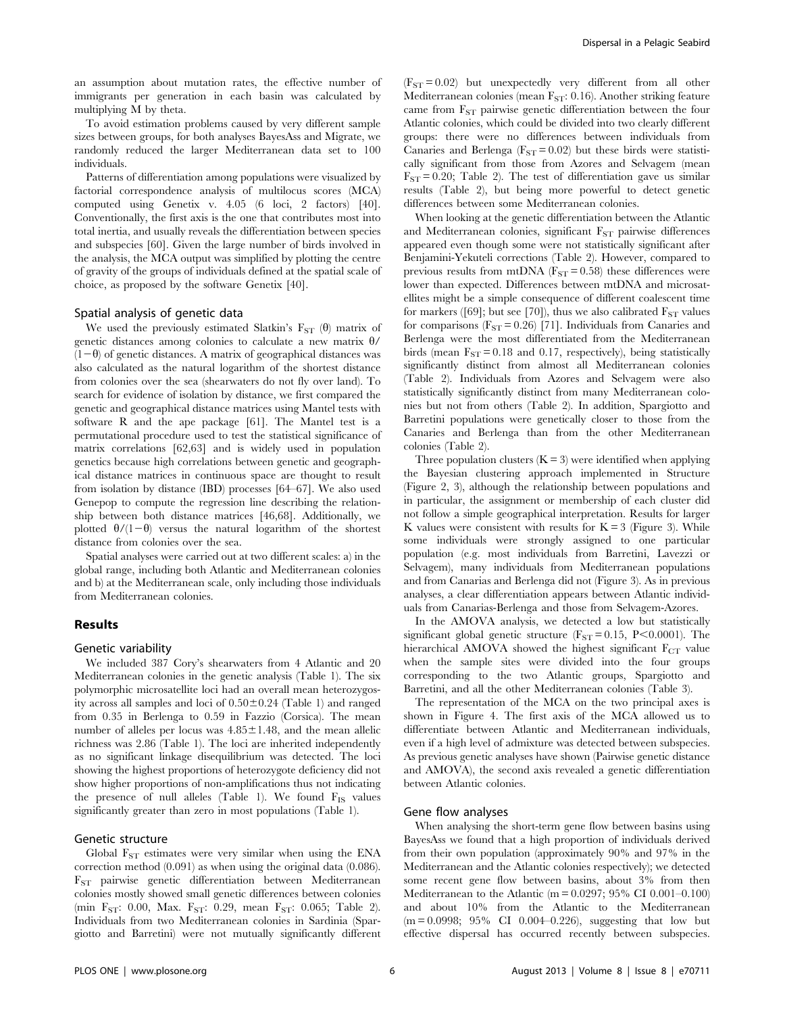an assumption about mutation rates, the effective number of immigrants per generation in each basin was calculated by multiplying M by theta.

To avoid estimation problems caused by very different sample sizes between groups, for both analyses BayesAss and Migrate, we randomly reduced the larger Mediterranean data set to 100 individuals.

Patterns of differentiation among populations were visualized by factorial correspondence analysis of multilocus scores (MCA) computed using Genetix v. 4.05 (6 loci, 2 factors) [40]. Conventionally, the first axis is the one that contributes most into total inertia, and usually reveals the differentiation between species and subspecies [60]. Given the large number of birds involved in the analysis, the MCA output was simplified by plotting the centre of gravity of the groups of individuals defined at the spatial scale of choice, as proposed by the software Genetix [40].

#### Spatial analysis of genetic data

We used the previously estimated Slatkin's  $F_{ST}(\theta)$  matrix of genetic distances among colonies to calculate a new matrix  $\theta$ /  $(1-\theta)$  of genetic distances. A matrix of geographical distances was also calculated as the natural logarithm of the shortest distance from colonies over the sea (shearwaters do not fly over land). To search for evidence of isolation by distance, we first compared the genetic and geographical distance matrices using Mantel tests with software R and the ape package [61]. The Mantel test is a permutational procedure used to test the statistical significance of matrix correlations [62,63] and is widely used in population genetics because high correlations between genetic and geographical distance matrices in continuous space are thought to result from isolation by distance (IBD) processes [64–67]. We also used Genepop to compute the regression line describing the relationship between both distance matrices [46,68]. Additionally, we plotted  $\theta/(1-\theta)$  versus the natural logarithm of the shortest distance from colonies over the sea.

Spatial analyses were carried out at two different scales: a) in the global range, including both Atlantic and Mediterranean colonies and b) at the Mediterranean scale, only including those individuals from Mediterranean colonies.

## Results

#### Genetic variability

We included 387 Cory's shearwaters from 4 Atlantic and 20 Mediterranean colonies in the genetic analysis (Table 1). The six polymorphic microsatellite loci had an overall mean heterozygosity across all samples and loci of  $0.50\pm0.24$  (Table 1) and ranged from 0.35 in Berlenga to 0.59 in Fazzio (Corsica). The mean number of alleles per locus was  $4.85 \pm 1.48$ , and the mean allelic richness was 2.86 (Table 1). The loci are inherited independently as no significant linkage disequilibrium was detected. The loci showing the highest proportions of heterozygote deficiency did not show higher proportions of non-amplifications thus not indicating the presence of null alleles (Table 1). We found  $F_{IS}$  values significantly greater than zero in most populations (Table 1).

## Genetic structure

Global  $F_{ST}$  estimates were very similar when using the ENA correction method (0.091) as when using the original data (0.086). FST pairwise genetic differentiation between Mediterranean colonies mostly showed small genetic differences between colonies (min F<sub>ST</sub>: 0.00, Max. F<sub>ST</sub>: 0.29, mean F<sub>ST</sub>: 0.065; Table 2). Individuals from two Mediterranean colonies in Sardinia (Spargiotto and Barretini) were not mutually significantly different

 $(F<sub>ST</sub> = 0.02)$  but unexpectedly very different from all other Mediterranean colonies (mean  $F_{ST}$ : 0.16). Another striking feature came from  $F_{ST}$  pairwise genetic differentiation between the four Atlantic colonies, which could be divided into two clearly different groups: there were no differences between individuals from Canaries and Berlenga ( $F_{ST} = 0.02$ ) but these birds were statistically significant from those from Azores and Selvagem (mean  $F_{ST} = 0.20$ ; Table 2). The test of differentiation gave us similar results (Table 2), but being more powerful to detect genetic differences between some Mediterranean colonies.

When looking at the genetic differentiation between the Atlantic and Mediterranean colonies, significant  $F_{ST}$  pairwise differences appeared even though some were not statistically significant after Benjamini-Yekuteli corrections (Table 2). However, compared to previous results from mtDNA ( $F_{ST}$  = 0.58) these differences were lower than expected. Differences between mtDNA and microsatellites might be a simple consequence of different coalescent time for markers ([69]; but see [70]), thus we also calibrated  $F_{ST}$  values for comparisons  $(F_{ST} = 0.26)$  [71]. Individuals from Canaries and Berlenga were the most differentiated from the Mediterranean birds (mean  $F_{ST} = 0.18$  and 0.17, respectively), being statistically significantly distinct from almost all Mediterranean colonies (Table 2). Individuals from Azores and Selvagem were also statistically significantly distinct from many Mediterranean colonies but not from others (Table 2). In addition, Spargiotto and Barretini populations were genetically closer to those from the Canaries and Berlenga than from the other Mediterranean colonies (Table 2).

Three population clusters  $(K = 3)$  were identified when applying the Bayesian clustering approach implemented in Structure (Figure 2, 3), although the relationship between populations and in particular, the assignment or membership of each cluster did not follow a simple geographical interpretation. Results for larger K values were consistent with results for  $K = 3$  (Figure 3). While some individuals were strongly assigned to one particular population (e.g. most individuals from Barretini, Lavezzi or Selvagem), many individuals from Mediterranean populations and from Canarias and Berlenga did not (Figure 3). As in previous analyses, a clear differentiation appears between Atlantic individuals from Canarias-Berlenga and those from Selvagem-Azores.

In the AMOVA analysis, we detected a low but statistically significant global genetic structure ( $F_{ST} = 0.15$ , P<0.0001). The hierarchical AMOVA showed the highest significant  $F_{CT}$  value when the sample sites were divided into the four groups corresponding to the two Atlantic groups, Spargiotto and Barretini, and all the other Mediterranean colonies (Table 3).

The representation of the MCA on the two principal axes is shown in Figure 4. The first axis of the MCA allowed us to differentiate between Atlantic and Mediterranean individuals, even if a high level of admixture was detected between subspecies. As previous genetic analyses have shown (Pairwise genetic distance and AMOVA), the second axis revealed a genetic differentiation between Atlantic colonies.

## Gene flow analyses

When analysing the short-term gene flow between basins using BayesAss we found that a high proportion of individuals derived from their own population (approximately 90% and 97% in the Mediterranean and the Atlantic colonies respectively); we detected some recent gene flow between basins, about 3% from then Mediterranean to the Atlantic (m =  $0.0297$ ; 95% CI 0.001-0.100) and about 10% from the Atlantic to the Mediterranean (m = 0.0998; 95% CI 0.004–0.226), suggesting that low but effective dispersal has occurred recently between subspecies.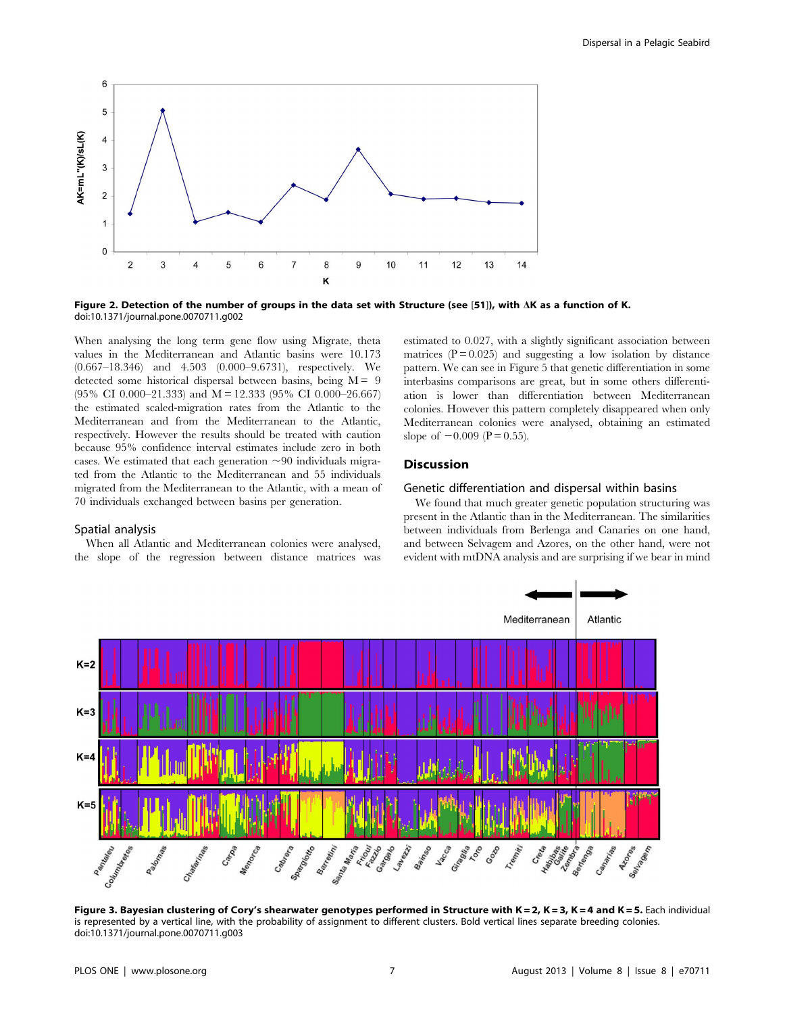

Figure 2. Detection of the number of groups in the data set with Structure (see [51]), with  $\Delta K$  as a function of K. doi:10.1371/journal.pone.0070711.g002

When analysing the long term gene flow using Migrate, theta values in the Mediterranean and Atlantic basins were 10.173 (0.667–18.346) and 4.503 (0.000–9.6731), respectively. We detected some historical dispersal between basins, being  $M = 9$  $(95\% \text{ CI } 0.000-21.333)$  and  $M = 12.333 (95\% \text{ CI } 0.000-26.667)$ the estimated scaled-migration rates from the Atlantic to the Mediterranean and from the Mediterranean to the Atlantic, respectively. However the results should be treated with caution because 95% confidence interval estimates include zero in both cases. We estimated that each generation  $\sim 90$  individuals migrated from the Atlantic to the Mediterranean and 55 individuals migrated from the Mediterranean to the Atlantic, with a mean of 70 individuals exchanged between basins per generation.

## Spatial analysis

When all Atlantic and Mediterranean colonies were analysed, the slope of the regression between distance matrices was estimated to 0.027, with a slightly significant association between matrices  $(P = 0.025)$  and suggesting a low isolation by distance pattern. We can see in Figure 5 that genetic differentiation in some interbasins comparisons are great, but in some others differentiation is lower than differentiation between Mediterranean colonies. However this pattern completely disappeared when only Mediterranean colonies were analysed, obtaining an estimated slope of  $-0.009$  (P = 0.55).

## **Discussion**

## Genetic differentiation and dispersal within basins

We found that much greater genetic population structuring was present in the Atlantic than in the Mediterranean. The similarities between individuals from Berlenga and Canaries on one hand, and between Selvagem and Azores, on the other hand, were not evident with mtDNA analysis and are surprising if we bear in mind



Figure 3. Bayesian clustering of Cory's shearwater genotypes performed in Structure with K = 2, K = 3, K = 4 and K = 5. Each individual is represented by a vertical line, with the probability of assignment to different clusters. Bold vertical lines separate breeding colonies. doi:10.1371/journal.pone.0070711.g003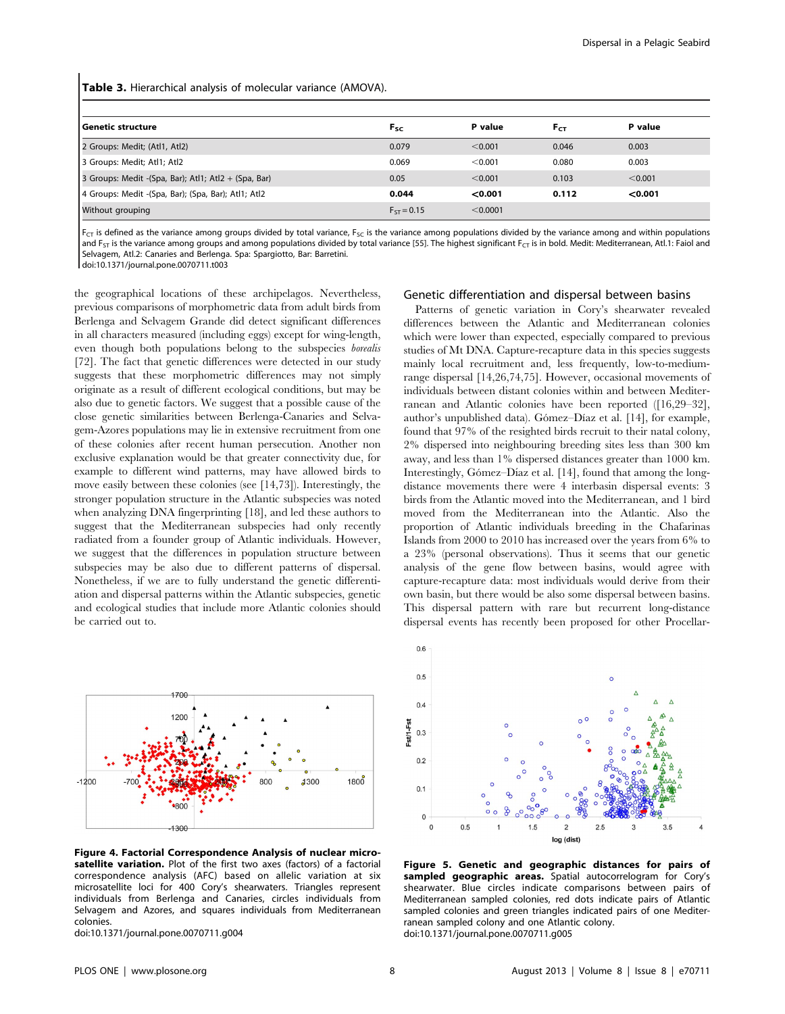Table 3. Hierarchical analysis of molecular variance (AMOVA).

| l Genetic structure                                  | $F_{SC}$        | P value  | $F_{CT}$ | P value |
|------------------------------------------------------|-----------------|----------|----------|---------|
| 2 Groups: Medit; (Atl1, Atl2)                        | 0.079           | < 0.001  | 0.046    | 0.003   |
| 3 Groups: Medit; Atl1; Atl2                          | 0.069           | < 0.001  | 0.080    | 0.003   |
| 3 Groups: Medit -(Spa, Bar); Atl1; Atl2 + (Spa, Bar) | 0.05            | < 0.001  | 0.103    | < 0.001 |
| 4 Groups: Medit -(Spa, Bar); (Spa, Bar); Atl1; Atl2  | 0.044           | < 0.001  | 0.112    | < 0.001 |
| Without grouping                                     | $F_{ST} = 0.15$ | < 0.0001 |          |         |

 $F_{CT}$  is defined as the variance among groups divided by total variance,  $F_{SC}$  is the variance among populations divided by the variance among and within populations and  $FST$  is the variance among groups and among populations divided by total variance [55]. The highest significant  $FST$  is in bold. Medit: Mediterranean, Atl.1: Faiol and Selvagem, Atl.2: Canaries and Berlenga. Spa: Spargiotto, Bar: Barretini.

doi:10.1371/journal.pone.0070711.t003

the geographical locations of these archipelagos. Nevertheless, previous comparisons of morphometric data from adult birds from Berlenga and Selvagem Grande did detect significant differences in all characters measured (including eggs) except for wing-length, even though both populations belong to the subspecies borealis [72]. The fact that genetic differences were detected in our study suggests that these morphometric differences may not simply originate as a result of different ecological conditions, but may be also due to genetic factors. We suggest that a possible cause of the close genetic similarities between Berlenga-Canaries and Selvagem-Azores populations may lie in extensive recruitment from one of these colonies after recent human persecution. Another non exclusive explanation would be that greater connectivity due, for example to different wind patterns, may have allowed birds to move easily between these colonies (see [14,73]). Interestingly, the stronger population structure in the Atlantic subspecies was noted when analyzing DNA fingerprinting [18], and led these authors to suggest that the Mediterranean subspecies had only recently radiated from a founder group of Atlantic individuals. However, we suggest that the differences in population structure between subspecies may be also due to different patterns of dispersal. Nonetheless, if we are to fully understand the genetic differentiation and dispersal patterns within the Atlantic subspecies, genetic and ecological studies that include more Atlantic colonies should be carried out to.



Figure 4. Factorial Correspondence Analysis of nuclear microsatellite variation. Plot of the first two axes (factors) of a factorial correspondence analysis (AFC) based on allelic variation at six microsatellite loci for 400 Cory's shearwaters. Triangles represent individuals from Berlenga and Canaries, circles individuals from Selvagem and Azores, and squares individuals from Mediterranean colonies.

doi:10.1371/journal.pone.0070711.g004

#### Genetic differentiation and dispersal between basins

Patterns of genetic variation in Cory's shearwater revealed differences between the Atlantic and Mediterranean colonies which were lower than expected, especially compared to previous studies of Mt DNA. Capture-recapture data in this species suggests mainly local recruitment and, less frequently, low-to-mediumrange dispersal [14,26,74,75]. However, occasional movements of individuals between distant colonies within and between Mediterranean and Atlantic colonies have been reported ([16,29–32], author's unpublished data). Gómez-Díaz et al. [14], for example, found that 97% of the resighted birds recruit to their natal colony, 2% dispersed into neighbouring breeding sites less than 300 km away, and less than 1% dispersed distances greater than 1000 km. Interestingly, Gómez–Díaz et al. [14], found that among the longdistance movements there were 4 interbasin dispersal events: 3 birds from the Atlantic moved into the Mediterranean, and 1 bird moved from the Mediterranean into the Atlantic. Also the proportion of Atlantic individuals breeding in the Chafarinas Islands from 2000 to 2010 has increased over the years from 6% to a 23% (personal observations). Thus it seems that our genetic analysis of the gene flow between basins, would agree with capture-recapture data: most individuals would derive from their own basin, but there would be also some dispersal between basins. This dispersal pattern with rare but recurrent long-distance dispersal events has recently been proposed for other Procellar-



Figure 5. Genetic and geographic distances for pairs of sampled geographic areas. Spatial autocorrelogram for Cory's shearwater. Blue circles indicate comparisons between pairs of Mediterranean sampled colonies, red dots indicate pairs of Atlantic sampled colonies and green triangles indicated pairs of one Mediterranean sampled colony and one Atlantic colony. doi:10.1371/journal.pone.0070711.g005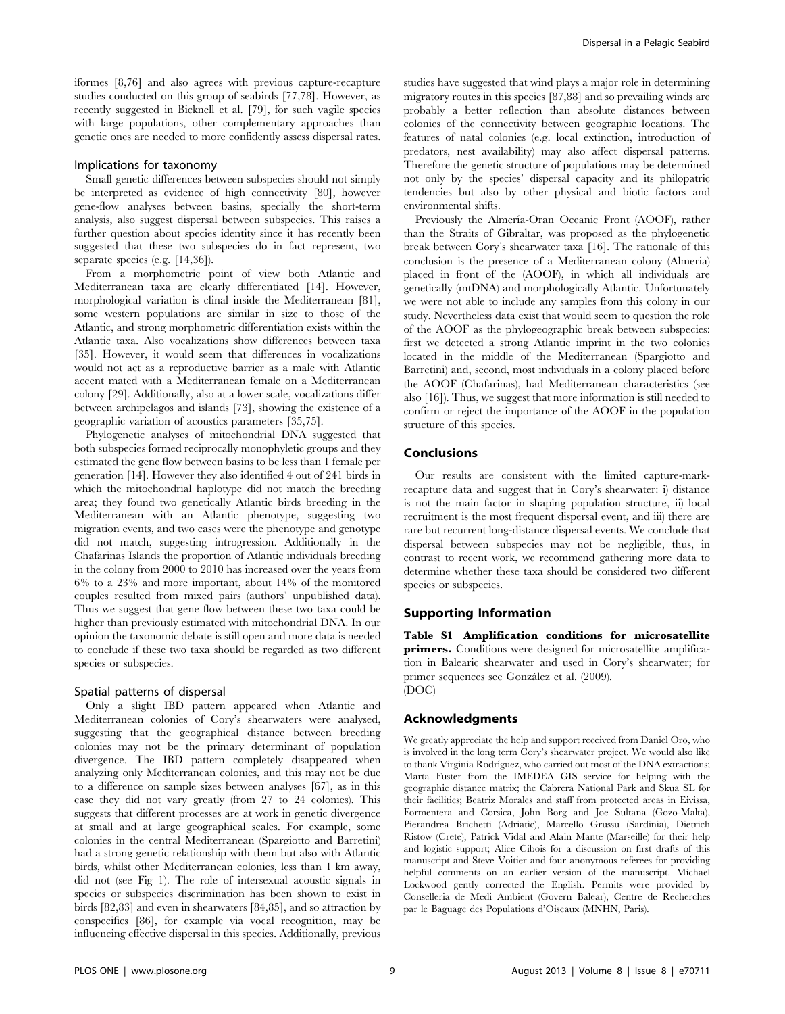iformes [8,76] and also agrees with previous capture-recapture studies conducted on this group of seabirds [77,78]. However, as recently suggested in Bicknell et al. [79], for such vagile species with large populations, other complementary approaches than genetic ones are needed to more confidently assess dispersal rates.

#### Implications for taxonomy

Small genetic differences between subspecies should not simply be interpreted as evidence of high connectivity [80], however gene-flow analyses between basins, specially the short-term analysis, also suggest dispersal between subspecies. This raises a further question about species identity since it has recently been suggested that these two subspecies do in fact represent, two separate species (e.g. [14,36]).

From a morphometric point of view both Atlantic and Mediterranean taxa are clearly differentiated [14]. However, morphological variation is clinal inside the Mediterranean [81], some western populations are similar in size to those of the Atlantic, and strong morphometric differentiation exists within the Atlantic taxa. Also vocalizations show differences between taxa [35]. However, it would seem that differences in vocalizations would not act as a reproductive barrier as a male with Atlantic accent mated with a Mediterranean female on a Mediterranean colony [29]. Additionally, also at a lower scale, vocalizations differ between archipelagos and islands [73], showing the existence of a geographic variation of acoustics parameters [35,75].

Phylogenetic analyses of mitochondrial DNA suggested that both subspecies formed reciprocally monophyletic groups and they estimated the gene flow between basins to be less than 1 female per generation [14]. However they also identified 4 out of 241 birds in which the mitochondrial haplotype did not match the breeding area; they found two genetically Atlantic birds breeding in the Mediterranean with an Atlantic phenotype, suggesting two migration events, and two cases were the phenotype and genotype did not match, suggesting introgression. Additionally in the Chafarinas Islands the proportion of Atlantic individuals breeding in the colony from 2000 to 2010 has increased over the years from 6% to a 23% and more important, about 14% of the monitored couples resulted from mixed pairs (authors' unpublished data). Thus we suggest that gene flow between these two taxa could be higher than previously estimated with mitochondrial DNA. In our opinion the taxonomic debate is still open and more data is needed to conclude if these two taxa should be regarded as two different species or subspecies.

#### Spatial patterns of dispersal

Only a slight IBD pattern appeared when Atlantic and Mediterranean colonies of Cory's shearwaters were analysed, suggesting that the geographical distance between breeding colonies may not be the primary determinant of population divergence. The IBD pattern completely disappeared when analyzing only Mediterranean colonies, and this may not be due to a difference on sample sizes between analyses [67], as in this case they did not vary greatly (from 27 to 24 colonies). This suggests that different processes are at work in genetic divergence at small and at large geographical scales. For example, some colonies in the central Mediterranean (Spargiotto and Barretini) had a strong genetic relationship with them but also with Atlantic birds, whilst other Mediterranean colonies, less than 1 km away, did not (see Fig 1). The role of intersexual acoustic signals in species or subspecies discrimination has been shown to exist in birds [82,83] and even in shearwaters [84,85], and so attraction by conspecifics [86], for example via vocal recognition, may be influencing effective dispersal in this species. Additionally, previous studies have suggested that wind plays a major role in determining migratory routes in this species [87,88] and so prevailing winds are probably a better reflection than absolute distances between colonies of the connectivity between geographic locations. The features of natal colonies (e.g. local extinction, introduction of predators, nest availability) may also affect dispersal patterns. Therefore the genetic structure of populations may be determined not only by the species' dispersal capacity and its philopatric tendencies but also by other physical and biotic factors and environmental shifts.

Previously the Almería-Oran Oceanic Front (AOOF), rather than the Straits of Gibraltar, was proposed as the phylogenetic break between Cory's shearwater taxa [16]. The rationale of this conclusion is the presence of a Mediterranean colony (Almería) placed in front of the (AOOF), in which all individuals are genetically (mtDNA) and morphologically Atlantic. Unfortunately we were not able to include any samples from this colony in our study. Nevertheless data exist that would seem to question the role of the AOOF as the phylogeographic break between subspecies: first we detected a strong Atlantic imprint in the two colonies located in the middle of the Mediterranean (Spargiotto and Barretini) and, second, most individuals in a colony placed before the AOOF (Chafarinas), had Mediterranean characteristics (see also [16]). Thus, we suggest that more information is still needed to confirm or reject the importance of the AOOF in the population structure of this species.

## Conclusions

Our results are consistent with the limited capture-markrecapture data and suggest that in Cory's shearwater: i) distance is not the main factor in shaping population structure, ii) local recruitment is the most frequent dispersal event, and iii) there are rare but recurrent long-distance dispersal events. We conclude that dispersal between subspecies may not be negligible, thus, in contrast to recent work, we recommend gathering more data to determine whether these taxa should be considered two different species or subspecies.

## Supporting Information

Table S1 Amplification conditions for microsatellite primers. Conditions were designed for microsatellite amplification in Balearic shearwater and used in Cory's shearwater; for primer sequences see González et al. (2009). (DOC)

#### Acknowledgments

We greatly appreciate the help and support received from Daniel Oro, who is involved in the long term Cory's shearwater project. We would also like to thank Virginia Rodríguez, who carried out most of the DNA extractions; Marta Fuster from the IMEDEA GIS service for helping with the geographic distance matrix; the Cabrera National Park and Skua SL for their facilities; Beatriz Morales and staff from protected areas in Eivissa, Formentera and Corsica, John Borg and Joe Sultana (Gozo-Malta), Pierandrea Brichetti (Adriatic), Marcello Grussu (Sardinia), Dietrich Ristow (Crete), Patrick Vidal and Alain Mante (Marseille) for their help and logistic support; Alice Cibois for a discussion on first drafts of this manuscript and Steve Voitier and four anonymous referees for providing helpful comments on an earlier version of the manuscript. Michael Lockwood gently corrected the English. Permits were provided by Conselleria de Medi Ambient (Govern Balear), Centre de Recherches par le Baguage des Populations d'Oiseaux (MNHN, Paris).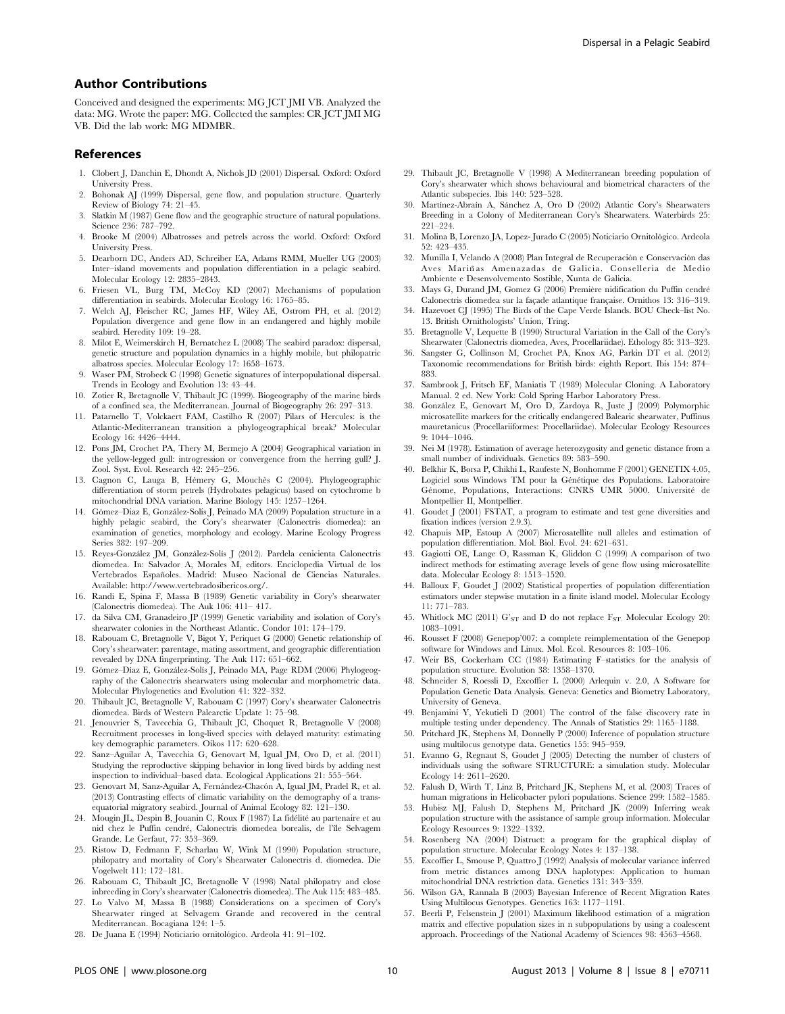## Author Contributions

Conceived and designed the experiments: MG JCT JMI VB. Analyzed the data: MG. Wrote the paper: MG. Collected the samples: CR JCT JMI MG VB. Did the lab work: MG MDMBR.

#### References

- 1. Clobert J, Danchin E, Dhondt A, Nichols JD (2001) Dispersal. Oxford: Oxford University Press.
- 2. Bohonak AJ (1999) Dispersal, gene flow, and population structure. Quarterly Review of Biology 74: 21–45.
- Slatkin M (1987) Gene flow and the geographic structure of natural populations. Science 236: 787–792.
- 4. Brooke M (2004) Albatrosses and petrels across the world. Oxford: Oxford University Press.
- 5. Dearborn DC, Anders AD, Schreiber EA, Adams RMM, Mueller UG (2003) Inter–island movements and population differentiation in a pelagic seabird. Molecular Ecology 12: 2835–2843.
- 6. Friesen VL, Burg TM, McCoy KD (2007) Mechanisms of population differentiation in seabirds. Molecular Ecology 16: 1765–85.
- 7. Welch AJ, Fleischer RC, James HF, Wiley AE, Ostrom PH, et al. (2012) Population divergence and gene flow in an endangered and highly mobile seabird. Heredity 109: 19–28.
- 8. Milot E, Weimerskirch H, Bernatchez L (2008) The seabird paradox: dispersal, genetic structure and population dynamics in a highly mobile, but philopatric albatross species. Molecular Ecology 17: 1658–1673.
- 9. Waser PM, Strobeck C (1998) Genetic signatures of interpopulational dispersal. Trends in Ecology and Evolution 13: 43–44.
- 10. Zotier R, Bretagnolle V, Thibault JC (1999). Biogeography of the marine birds of a confined sea, the Mediterranean. Journal of Biogeography 26: 297–313.
- 11. Patarnello T, Volckaert FAM, Castilho R (2007) Pilars of Hercules: is the Atlantic-Mediterranean transition a phylogeographical break? Molecular Ecology 16: 4426–4444.
- 12. Pons JM, Crochet PA, Thery M, Bermejo A (2004) Geographical variation in the yellow-legged gull: introgression or convergence from the herring gull? J. Zool. Syst. Evol. Research 42: 245–256.
- 13. Cagnon C, Lauga B, Hémery G, Mouchès C (2004). Phylogeographic differentiation of storm petrels (Hydrobates pelagicus) based on cytochrome b mitochondrial DNA variation. Marine Biology 145: 1257–1264.
- 14. Gómez–Díaz E, González-Solís J, Peinado MA (2009) Population structure in a highly pelagic seabird, the Cory's shearwater (Calonectris diomedea): an examination of genetics, morphology and ecology. Marine Ecology Progress Series 382: 197–209.
- 15. Reyes-González JM, González-Solís J (2012). Pardela cenicienta Calonectris diomedea. In: Salvador A, Morales M, editors. Enciclopedia Virtual de los Vertebrados Españoles. Madrid: Museo Nacional de Ciencias Naturales. Available: http://www.vertebradosibericos.org/.
- 16. Randi E, Spina F, Massa B (1989) Genetic variability in Cory's shearwater (Calonectris diomedea). The Auk 106: 411– 417.
- 17. da Silva CM, Granadeiro JP (1999) Genetic variability and isolation of Cory's shearwater colonies in the Northeast Atlantic. Condor 101: 174–179.
- 18. Rabouam C, Bretagnolle V, Bigot Y, Periquet G (2000) Genetic relationship of Cory's shearwater: parentage, mating assortment, and geographic differentiation revealed by DNA fingerprinting. The Auk 117: 651–662.
- 19. Gómez–Díaz E, González-Solís J, Peinado MA, Page RDM (2006) Phylogeography of the Calonectris shearwaters using molecular and morphometric data. Molecular Phylogenetics and Evolution 41: 322–332.
- 20. Thibault JC, Bretagnolle V, Rabouam C (1997) Cory's shearwater Calonectris diomedea. Birds of Western Palearctic Update 1: 75–98.
- 21. Jenouvrier S, Tavecchia G, Thibault JC, Choquet R, Bretagnolle V (2008) Recruitment processes in long-lived species with delayed maturity: estimating key demographic parameters. Oikos 117: 620–628.
- 22. Sanz–Aguilar A, Tavecchia G, Genovart M, Igual JM, Oro D, et al. (2011) Studying the reproductive skipping behavior in long lived birds by adding nest inspection to individual–based data. Ecological Applications 21: 555–564.
- 23. Genovart M, Sanz-Aguilar A, Fernández-Chacón A, Igual JM, Pradel R, et al. (2013) Contrasting effects of climatic variability on the demography of a transequatorial migratory seabird. Journal of Animal Ecology 82: 121–130.
- 24. Mougin JL, Despin B, Jouanin C, Roux F (1987) La fidélité au partenaire et au nid chez le Puffin cendré, Calonectris diomedea borealis, de l'île Selvagem Grande. Le Gerfaut, 77: 353–369.
- 25. Ristow D, Fedmann F, Scharlau W, Wink M (1990) Population structure, philopatry and mortality of Cory's Shearwater Calonectris d. diomedea. Die Vogelwelt 111: 172–181.
- 26. Rabouam C, Thibault JC, Bretagnolle V (1998) Natal philopatry and close inbreeding in Cory's shearwater (Calonectris diomedea). The Auk 115: 483–485.
- 27. Lo Valvo M, Massa B (1988) Considerations on a specimen of Cory's Shearwater ringed at Selvagem Grande and recovered in the central Mediterranean. Bocagiana 124: 1–5.
- 28. De Juana E (1994) Noticiario ornitológico. Ardeola 41: 91-102.
- 29. Thibault JC, Bretagnolle V (1998) A Mediterranean breeding population of Cory's shearwater which shows behavioural and biometrical characters of the Atlantic subspecies. Ibis 140: 523–528.
- 30. Martínez-Abraín A, Sánchez A, Oro D (2002) Atlantic Cory's Shearwaters Breeding in a Colony of Mediterranean Cory's Shearwaters. Waterbirds 25: 221–224.
- 31. Molina B, Lorenzo JA, Lopez- Jurado C (2005) Noticiario Ornitológico. Ardeola 52: 423–435.
- 32. Munilla I, Velando A $\left( 2008\right)$  Plan Integral de Recuperación e Conservación das Aves Mariñas Amenazadas de Galicia. Consellería de Medio Ambiente e Desenvolvemento Sostible, Xunta de Galicia.
- 33. Mays G, Durand JM, Gomez G (2006) Première nidification du Puffin cendré Calonectris diomedea sur la façade atlantique française. Ornithos 13: 316-319.
- 34. Hazevoet CJ (1995) The Birds of the Cape Verde Islands. BOU Check–list No. 13. British Ornithologists' Union, Tring.
- 35. Bretagnolle V, Lequette B (1990) Structural Variation in the Call of the Cory's Shearwater (Calonectris diomedea, Aves, Procellariidae). Ethology 85: 313–323.
- 36. Sangster G, Collinson M, Crochet PA, Knox AG, Parkin DT et al. (2012) Taxonomic recommendations for British birds: eighth Report. Ibis 154: 874– 883.
- 37. Sambrook J, Fritsch EF, Maniatis T (1989) Molecular Cloning. A Laboratory Manual. 2 ed. New York: Cold Spring Harbor Laboratory Press.
- 38. González E, Genovart M, Oro D, Zardoya R, Juste J (2009) Polymorphic microsatellite markers for the critically endangered Balearic shearwater, Puffinus mauretanicus (Procellariiformes: Procellariidae). Molecular Ecology Resources 9: 1044–1046.
- 39. Nei M (1978). Estimation of average heterozygosity and genetic distance from a small number of individuals. Genetics 89: 583–590.
- 40. Belkhir K, Borsa P, Chikhi L, Raufeste N, Bonhomme F (2001) GENETIX 4.05, Logiciel sous Windows TM pour la Génétique des Populations. Laboratoire Génome, Populations, Interactions: CNRS UMR 5000. Université de Montpellier II, Montpellier.
- 41. Goudet J (2001) FSTAT, a program to estimate and test gene diversities and fixation indices (version 2.9.3).
- 42. Chapuis MP, Estoup A (2007) Microsatellite null alleles and estimation of population differentiation. Mol. Biol. Evol. 24: 621–631.
- 43. Gagiotti OE, Lange O, Rassman K, Gliddon C (1999) A comparison of two indirect methods for estimating average levels of gene flow using microsatellite data. Molecular Ecology 8: 1513–1520.
- 44. Balloux F, Goudet J (2002) Statistical properties of population differentiation estimators under stepwise mutation in a finite island model. Molecular Ecology 11: 771–783.
- 45. Whitlock MC (2011)  $G'_{ST}$  and D do not replace  $F_{ST}$  Molecular Ecology 20: 1083–1091.
- 46. Rousset F (2008) Genepop'007: a complete reimplementation of the Genepop software for Windows and Linux. Mol. Ecol. Resources 8: 103–106.
- 47. Weir BS, Cockerham CC (1984) Estimating F–statistics for the analysis of population structure. Evolution 38: 1358–1370.
- 48. Schneider S, Roessli D, Excoffier L (2000) Arlequin v. 2.0, A Software for Population Genetic Data Analysis. Geneva: Genetics and Biometry Laboratory, University of Geneva.
- 49. Benjamini Y, Yekutieli D (2001) The control of the false discovery rate in multiple testing under dependency. The Annals of Statistics 29: 1165–1188.
- 50. Pritchard JK, Stephens M, Donnelly P (2000) Inference of population structure using multilocus genotype data. Genetics 155: 945–959.
- 51. Evanno G, Regnaut S, Goudet J (2005) Detecting the number of clusters of individuals using the software STRUCTURE: a simulation study. Molecular Ecology 14: 2611–2620.
- 52. Falush D, Wirth T, Linz B, Pritchard JK, Stephens M, et al. (2003) Traces of human migrations in Helicobacter pylori populations. Science 299: 1582–1585.
- 53. Hubisz MJ, Falush D, Stephens M, Pritchard JK (2009) Inferring weak population structure with the assistance of sample group information. Molecular Ecology Resources 9: 1322–1332.
- 54. Rosenberg NA (2004) Distruct: a program for the graphical display of population structure. Molecular Ecology Notes 4: 137–138.
- 55. Excoffier L, Smouse P, Quattro J (1992) Analysis of molecular variance inferred from metric distances among DNA haplotypes: Application to human mitochondrial DNA restriction data. Genetics 131: 343–359.
- 56. Wilson GA, Rannala B (2003) Bayesian Inference of Recent Migration Rates Using Multilocus Genotypes. Genetics 163: 1177–1191.
- 57. Beerli P, Felsenstein J (2001) Maximum likelihood estimation of a migration matrix and effective population sizes in n subpopulations by using a coalescent approach. Proceedings of the National Academy of Sciences 98: 4563–4568.